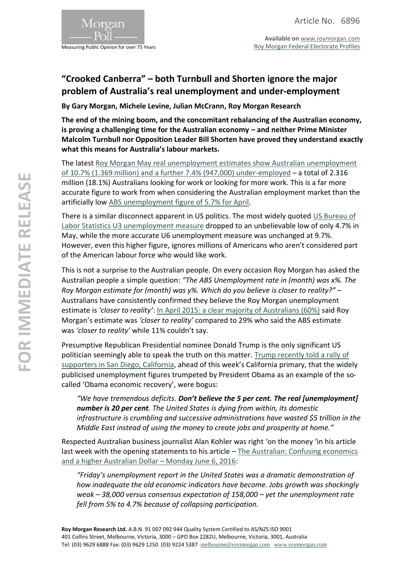

Measuring Public Opinion for over 75 Years

**Available on** [www.roymorgan.com](http://www.roymorgan.com/) [Roy Morgan Federal Electorate Profiles](http://www.roymorganonlinestore.com/Browse/Australia/Economic,-Political-and-Social/Federal-Electorates.aspx)

## **"Crooked Canberra" – both Turnbull and Shorten ignore the major problem of Australia's real unemployment and under-employment**

**By Gary Morgan, Michele Levine, Julian McCrann, Roy Morgan Research**

**The end of the mining boom, and the concomitant rebalancing of the Australian economy, is proving a challenging time for the Australian economy – and neither Prime Minister Malcolm Turnbull nor Opposition Leader Bill Shorten have proved they understand exactly what this means for Australia's labour markets.**

The latest [Roy Morgan May real unemployment estimates show Australian unemployment](http://www.roymorgan.com/findings/6837-roy-morgan-unemployment-may-2016-201606020804)  [of 10.7% \(1.369 million\) and a further 7.4% \(947,000\) under-employed](http://www.roymorgan.com/findings/6837-roy-morgan-unemployment-may-2016-201606020804) – a total of 2.316 million (18.1%) Australians looking for work or looking for more work. This is a far more accurate figure to work from when considering the Australian employment market than the artificially low [ABS unemployment figure of 5.7% for April.](http://abs.gov.au/AUSSTATS/abs@.nsf/mf/6202.0?opendocument#from-banner=LN)

There is a similar disconnect apparent in US politics. The most widely quoted US Bureau of [Labor Statistics U3 unemployment measure](http://www.bls.gov/news.release/empsit.t15.htm) dropped to an unbelievable low of only 4.7% in May, while the more accurate U6 unemployment measure was unchanged at 9.7%. However, even this higher figure, ignores millions of Americans who aren't considered part of the American labour force who would like work.

This is not a surprise to the Australian people. On every occasion Roy Morgan has asked the Australian people a simple question: *"The ABS Unemployment rate in (month) was x%. The Roy Morgan estimate for (month) was y%. Which do you believe is closer to reality?"* – Australians have consistently confirmed they believe the Roy Morgan unemployment estimate is *'closer to reality'*: [In April 2015: a clear majority of Australians \(60%\)](http://www.roymorgan.com/findings/6189-roy-morgan-abs-unemployment-estimates-april-2015-201504170455) said Roy Morgan's estimate was *'closer to reality'* compared to 29% who said the ABS estimate was *'closer to reality'* while 11% couldn't say.

Presumptive Republican Presidential nominee Donald Trump is the only significant US politician seemingly able to speak the truth on this matter. [Trump recently told a rally of](http://www.presstv.ir/Detail/2016/05/29/467885/Donald-Trump-Barack-Obama-unemployment-rate)  [supporters in San Diego, California](http://www.presstv.ir/Detail/2016/05/29/467885/Donald-Trump-Barack-Obama-unemployment-rate), ahead of this week's California primary, that the widely publicised unemployment figures trumpeted by President Obama as an example of the socalled 'Obama economic recovery', were bogus:

*"We have tremendous deficits. Don't believe the 5 per cent. The real [unemployment] number is 20 per cent. The United States is dying from within, its domestic infrastructure is crumbling and successive administrations have wasted \$5 trillion in the Middle East instead of using the money to create jobs and prosperity at home."*

Respected Australian business journalist Alan Kohler was right 'on the money 'in his article last week with the opening statements to his article – [The Australian: Confusing economics](http://www.theaustralian.com.au/business/opinion/alan-kohler/confusing-economics-and-a-higher-australian-dollar/news-story/fa475980610afffa47b994317ae71ee5)  [and a higher Australian Dollar](http://www.theaustralian.com.au/business/opinion/alan-kohler/confusing-economics-and-a-higher-australian-dollar/news-story/fa475980610afffa47b994317ae71ee5) – Monday June 6, 2016:

*"Friday's unemployment report in the United States was a dramatic demonstration of how inadequate the old economic indicators have become. Jobs growth was shockingly weak – 38,000 versus consensus expectation of 158,000 – yet the unemployment rate fell from 5% to 4.7% because of collapsing participation.*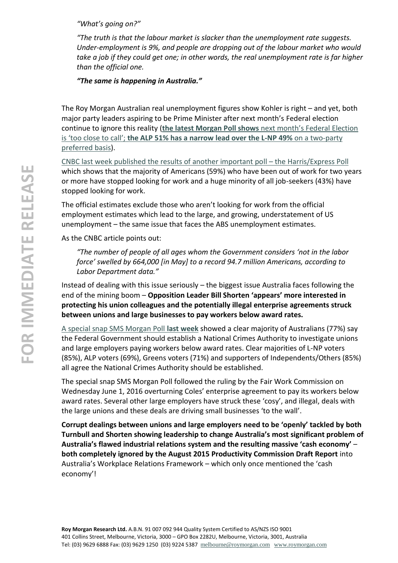*"What's going on?"*

*"The truth is that the labour market is slacker than the unemployment rate suggests. Under-employment is 9%, and people are dropping out of the labour market who would take a job if they could get one; in other words, the real unemployment rate is far higher than the official one.*

*"The same is happening in Australia."*

The Roy Morgan Australian real unemployment figures show Kohler is right – and yet, both major party leaders aspiring to be Prime Minister after next month's Federal election continue to ignore this reality (**the latest Morgan Poll shows** [next month's Federal Election](http://www.roymorgan.com/findings/6831-morgan-poll-federal-voting-intention-may-30-2016-201605300615)  is 'too close to call'; **[the ALP 51% has a narrow lead over the L-NP 49%](http://www.roymorgan.com/findings/6831-morgan-poll-federal-voting-intention-may-30-2016-201605300615)** on a two-party [preferred basis\)](http://www.roymorgan.com/findings/6831-morgan-poll-federal-voting-intention-may-30-2016-201605300615).

CNBC last week [published the results of another important poll](http://www.cnbc.com/2016/06/08/us-unemployed-have-quit-looking-for-jobs-at-a-frightening-level-survey.html) – the Harris/Express Poll which shows that the majority of Americans (59%) who have been out of work for two years or more have stopped looking for work and a huge minority of all job-seekers (43%) have stopped looking for work.

The official estimates exclude those who aren't looking for work from the official employment estimates which lead to the large, and growing, understatement of US unemployment – the same issue that faces the ABS unemployment estimates.

As the CNBC article points out:

*"The number of people of all ages whom the Government considers 'not in the labor force' swelled by 664,000 [in May] to a record 94.7 million Americans, according to Labor Department data."*

Instead of dealing with this issue seriously – the biggest issue Australia faces following the end of the mining boom – **Opposition Leader Bill Shorten 'appears' more interested in protecting his union colleagues and the potentially illegal enterprise agreements struck between unions and large businesses to pay workers below award rates.**

[A special snap SMS Morgan Poll](http://www.roymorgan.com/findings/6838-australian-national-crimes-authority-june-2016-201606030526) **last week** showed a clear majority of Australians (77%) say the Federal Government should establish a National Crimes Authority to investigate unions and large employers paying workers below award rates. Clear majorities of L-NP voters (85%), ALP voters (69%), Greens voters (71%) and supporters of Independents/Others (85%) all agree the National Crimes Authority should be established.

The special snap SMS Morgan Poll followed the ruling by the Fair Work Commission on Wednesday June 1, 2016 overturning Coles' enterprise agreement to pay its workers below award rates. Several other large employers have struck these 'cosy', and illegal, deals with the large unions and these deals are driving small businesses 'to the wall'.

**Corrupt dealings between unions and large employers need to be 'openly' tackled by both Turnbull and Shorten showing leadership to change Australia's most significant problem of Australia's flawed industrial relations system and the resulting massive 'cash economy'** – **both completely ignored by the August 2015 Productivity Commission Draft Report** into Australia's Workplace Relations Framework – which only once mentioned the 'cash economy'!